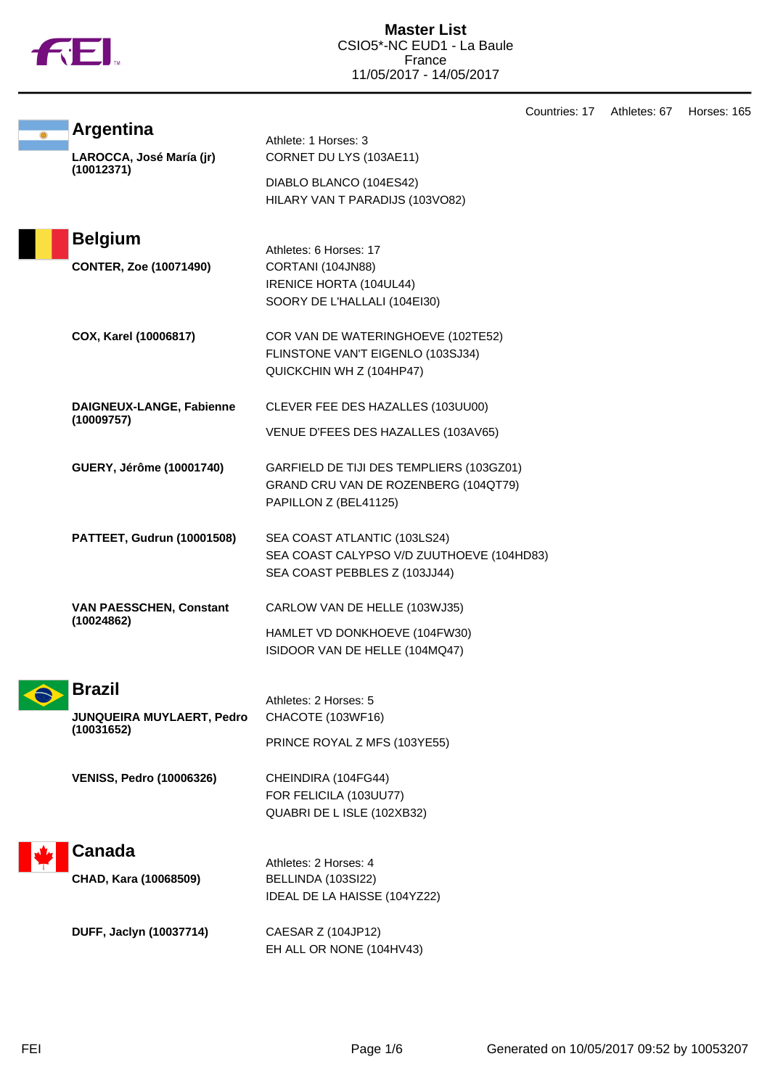

|  |                                                            |                                                                                                               | Countries: 17 | Athletes: 67 | Horses: 165 |
|--|------------------------------------------------------------|---------------------------------------------------------------------------------------------------------------|---------------|--------------|-------------|
|  | <b>Argentina</b><br>LAROCCA, José María (jr)<br>(10012371) | Athlete: 1 Horses: 3<br>CORNET DU LYS (103AE11)<br>DIABLO BLANCO (104ES42)<br>HILARY VAN T PARADIJS (103VO82) |               |              |             |
|  | <b>Belgium</b>                                             | Athletes: 6 Horses: 17                                                                                        |               |              |             |
|  | <b>CONTER, Zoe (10071490)</b>                              | CORTANI (104JN88)<br>IRENICE HORTA (104UL44)<br>SOORY DE L'HALLALI (104EI30)                                  |               |              |             |
|  | COX, Karel (10006817)                                      | COR VAN DE WATERINGHOEVE (102TE52)<br>FLINSTONE VAN'T EIGENLO (103SJ34)<br>QUICKCHIN WH Z (104HP47)           |               |              |             |
|  | DAIGNEUX-LANGE, Fabienne<br>(10009757)                     | CLEVER FEE DES HAZALLES (103UU00)<br>VENUE D'FEES DES HAZALLES (103AV65)                                      |               |              |             |
|  | GUERY, Jérôme (10001740)                                   | GARFIELD DE TIJI DES TEMPLIERS (103GZ01)<br>GRAND CRU VAN DE ROZENBERG (104QT79)<br>PAPILLON Z (BEL41125)     |               |              |             |
|  | PATTEET, Gudrun (10001508)                                 | SEA COAST ATLANTIC (103LS24)<br>SEA COAST CALYPSO V/D ZUUTHOEVE (104HD83)<br>SEA COAST PEBBLES Z (103JJ44)    |               |              |             |
|  | <b>VAN PAESSCHEN, Constant</b><br>(10024862)               | CARLOW VAN DE HELLE (103WJ35)<br>HAMLET VD DONKHOEVE (104FW30)<br>ISIDOOR VAN DE HELLE (104MQ47)              |               |              |             |
|  | <b>Brazil</b><br>JUNQUEIRA MUYLAERT, Pedro                 | Athletes: 2 Horses: 5<br>CHACOTE (103WF16)                                                                    |               |              |             |
|  | (10031652)                                                 | PRINCE ROYAL Z MFS (103YE55)                                                                                  |               |              |             |
|  | <b>VENISS, Pedro (10006326)</b>                            | CHEINDIRA (104FG44)<br>FOR FELICILA (103UU77)<br>QUABRI DE L ISLE (102XB32)                                   |               |              |             |
|  | <b>Canada</b><br>CHAD, Kara (10068509)                     | Athletes: 2 Horses: 4<br>BELLINDA (103SI22)<br>IDEAL DE LA HAISSE (104YZ22)                                   |               |              |             |
|  | DUFF, Jaclyn (10037714)                                    | CAESAR Z (104JP12)<br>EH ALL OR NONE (104HV43)                                                                |               |              |             |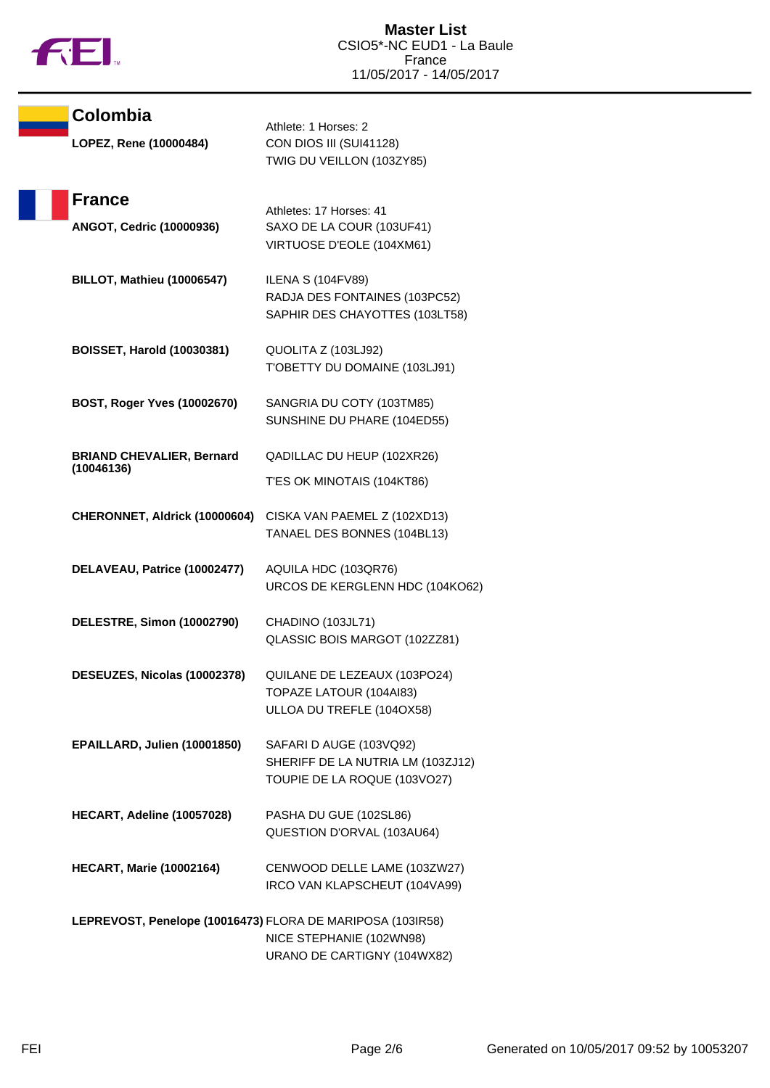

| Colombia                                                   | Athlete: 1 Horses: 2                                                                         |
|------------------------------------------------------------|----------------------------------------------------------------------------------------------|
| LOPEZ, Rene (10000484)                                     | CON DIOS III (SUI41128)<br>TWIG DU VEILLON (103ZY85)                                         |
| <b>France</b>                                              | Athletes: 17 Horses: 41                                                                      |
| ANGOT, Cedric (10000936)                                   | SAXO DE LA COUR (103UF41)<br>VIRTUOSE D'EOLE (104XM61)                                       |
| <b>BILLOT, Mathieu (10006547)</b>                          | <b>ILENA S (104FV89)</b><br>RADJA DES FONTAINES (103PC52)<br>SAPHIR DES CHAYOTTES (103LT58)  |
| <b>BOISSET, Harold (10030381)</b>                          | QUOLITA Z (103LJ92)<br>T'OBETTY DU DOMAINE (103LJ91)                                         |
| BOST, Roger Yves (10002670)                                | SANGRIA DU COTY (103TM85)<br>SUNSHINE DU PHARE (104ED55)                                     |
| <b>BRIAND CHEVALIER, Bernard</b><br>(10046136)             | QADILLAC DU HEUP (102XR26)                                                                   |
|                                                            | T'ES OK MINOTAIS (104KT86)                                                                   |
| CHERONNET, Aldrick (10000604)                              | CISKA VAN PAEMEL Z (102XD13)<br>TANAEL DES BONNES (104BL13)                                  |
| DELAVEAU, Patrice (10002477)                               | AQUILA HDC (103QR76)<br>URCOS DE KERGLENN HDC (104KO62)                                      |
| DELESTRE, Simon (10002790)                                 | CHADINO (103JL71)<br>QLASSIC BOIS MARGOT (102ZZ81)                                           |
| DESEUZES, Nicolas (10002378)                               | QUILANE DE LEZEAUX (103PO24)<br>TOPAZE LATOUR (104AI83)<br>ULLOA DU TREFLE (104OX58)         |
| EPAILLARD, Julien (10001850)                               | SAFARI D AUGE (103VQ92)<br>SHERIFF DE LA NUTRIA LM (103ZJ12)<br>TOUPIE DE LA ROQUE (103VO27) |
| HECART, Adeline (10057028)                                 | PASHA DU GUE (102SL86)<br>QUESTION D'ORVAL (103AU64)                                         |
| <b>HECART, Marie (10002164)</b>                            | CENWOOD DELLE LAME (103ZW27)<br>IRCO VAN KLAPSCHEUT (104VA99)                                |
| LEPREVOST, Penelope (10016473) FLORA DE MARIPOSA (103IR58) | NICE STEPHANIE (102WN98)<br>URANO DE CARTIGNY (104WX82)                                      |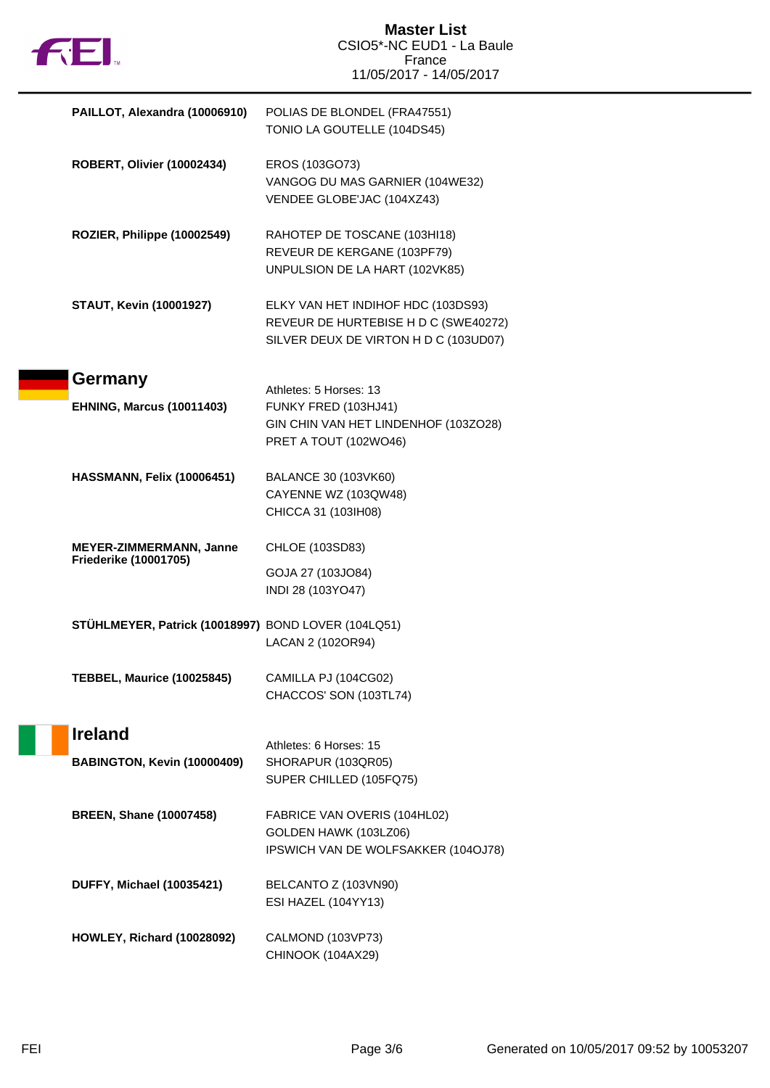| <b>FEI</b>                                                     | <b>Master List</b><br>CSIO5*-NC EUD1 - La Baule<br>France<br>11/05/2017 - 14/05/2017                                |
|----------------------------------------------------------------|---------------------------------------------------------------------------------------------------------------------|
| PAILLOT, Alexandra (10006910)                                  | POLIAS DE BLONDEL (FRA47551)<br>TONIO LA GOUTELLE (104DS45)                                                         |
| <b>ROBERT, Olivier (10002434)</b>                              | EROS (103GO73)<br>VANGOG DU MAS GARNIER (104WE32)<br>VENDEE GLOBE'JAC (104XZ43)                                     |
| ROZIER, Philippe (10002549)                                    | RAHOTEP DE TOSCANE (103HI18)<br>REVEUR DE KERGANE (103PF79)<br>UNPULSION DE LA HART (102VK85)                       |
| <b>STAUT, Kevin (10001927)</b>                                 | ELKY VAN HET INDIHOF HDC (103DS93)<br>REVEUR DE HURTEBISE H D C (SWE40272)<br>SILVER DEUX DE VIRTON H D C (103UD07) |
| Germany<br><b>EHNING, Marcus (10011403)</b>                    | Athletes: 5 Horses: 13<br>FUNKY FRED (103HJ41)                                                                      |
|                                                                | GIN CHIN VAN HET LINDENHOF (103ZO28)<br>PRET A TOUT (102WO46)                                                       |
| HASSMANN, Felix (10006451)                                     | BALANCE 30 (103VK60)<br>CAYENNE WZ (103QW48)<br>CHICCA 31 (103IH08)                                                 |
| <b>MEYER-ZIMMERMANN, Janne</b><br><b>Friederike (10001705)</b> | CHLOE (103SD83)<br>GOJA 27 (103JO84)                                                                                |
|                                                                | INDI 28 (103YO47)                                                                                                   |
| STÜHLMEYER, Patrick (10018997) BOND LOVER (104LQ51)            | LACAN 2 (102OR94)                                                                                                   |
| <b>TEBBEL, Maurice (10025845)</b>                              | CAMILLA PJ (104CG02)<br>CHACCOS' SON (103TL74)                                                                      |
| <b>Ireland</b>                                                 | Athletes: 6 Horses: 15                                                                                              |
| BABINGTON, Kevin (10000409)                                    | SHORAPUR (103QR05)<br>SUPER CHILLED (105FQ75)                                                                       |
| <b>BREEN, Shane (10007458)</b>                                 | FABRICE VAN OVERIS (104HL02)<br>GOLDEN HAWK (103LZ06)<br>IPSWICH VAN DE WOLFSAKKER (104OJ78)                        |
| <b>DUFFY, Michael (10035421)</b>                               | BELCANTO Z (103VN90)<br>ESI HAZEL (104YY13)                                                                         |
| <b>HOWLEY, Richard (10028092)</b>                              | CALMOND (103VP73)<br>CHINOOK (104AX29)                                                                              |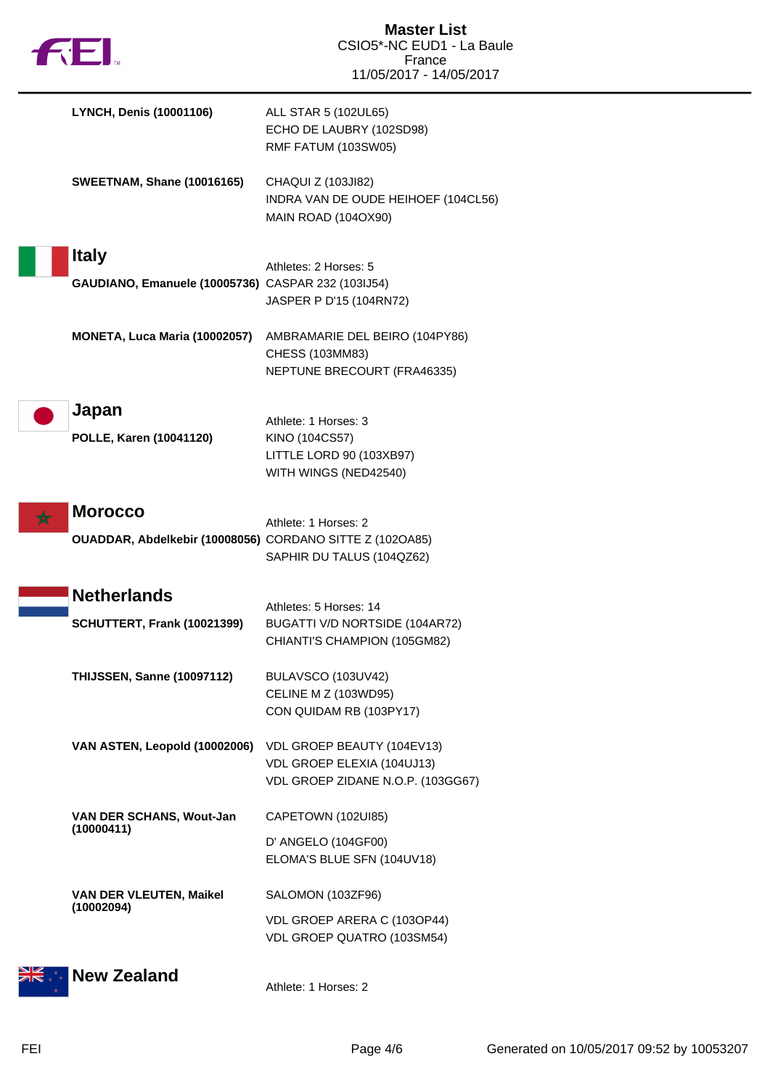| <b>LYNCH, Denis (10001106)</b>                                             | ALL STAR 5 (102UL65)<br>ECHO DE LAUBRY (102SD98)<br>RMF FATUM (103SW05)                       |
|----------------------------------------------------------------------------|-----------------------------------------------------------------------------------------------|
| <b>SWEETNAM, Shane (10016165)</b>                                          | CHAQUI Z (103JI82)<br>INDRA VAN DE OUDE HEIHOEF (104CL56)<br><b>MAIN ROAD (104OX90)</b>       |
| <b>Italy</b><br>GAUDIANO, Emanuele (10005736) CASPAR 232 (103IJ54)         | Athletes: 2 Horses: 5<br>JASPER P D'15 (104RN72)                                              |
| MONETA, Luca Maria (10002057)                                              | AMBRAMARIE DEL BEIRO (104PY86)<br>CHESS (103MM83)<br>NEPTUNE BRECOURT (FRA46335)              |
| Japan<br>POLLE, Karen (10041120)                                           | Athlete: 1 Horses: 3<br>KINO (104CS57)<br>LITTLE LORD 90 (103XB97)<br>WITH WINGS (NED42540)   |
| <b>Morocco</b><br>OUADDAR, Abdelkebir (10008056) CORDANO SITTE Z (102OA85) | Athlete: 1 Horses: 2<br>SAPHIR DU TALUS (104QZ62)                                             |
| <b>Netherlands</b><br>SCHUTTERT, Frank (10021399)                          | Athletes: 5 Horses: 14<br>BUGATTI V/D NORTSIDE (104AR72)<br>CHIANTI'S CHAMPION (105GM82)      |
| THIJSSEN, Sanne (10097112)                                                 | BULAVSCO (103UV42)<br><b>CELINE M Z (103WD95)</b><br>CON QUIDAM RB (103PY17)                  |
| VAN ASTEN, Leopold (10002006)                                              | VDL GROEP BEAUTY (104EV13)<br>VDL GROEP ELEXIA (104UJ13)<br>VDL GROEP ZIDANE N.O.P. (103GG67) |
| VAN DER SCHANS, Wout-Jan<br>(10000411)                                     | CAPETOWN (102UI85)<br>D' ANGELO (104GF00)<br>ELOMA'S BLUE SFN (104UV18)                       |
| <b>VAN DER VLEUTEN, Maikel</b><br>(10002094)                               | SALOMON (103ZF96)<br>VDL GROEP ARERA C (103OP44)<br>VDL GROEP QUATRO (103SM54)                |
| <b>New Zealand</b>                                                         | Athlete: 1 Horses: 2                                                                          |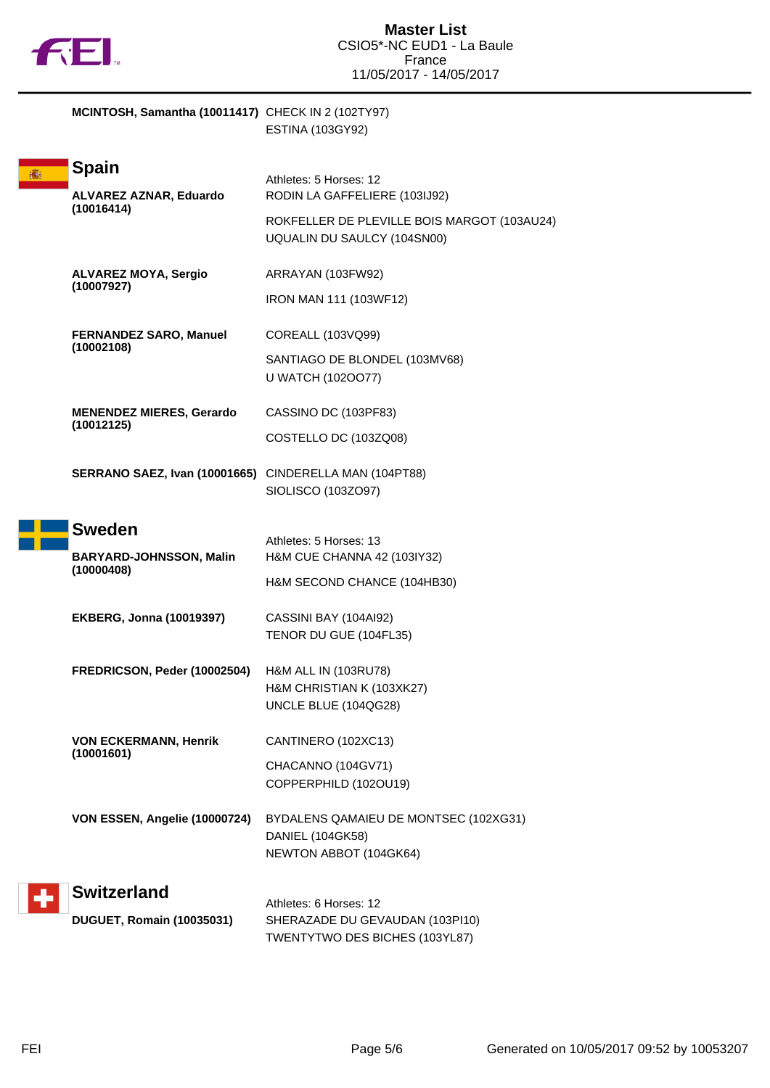

**MCINTOSH, Samantha (10011417)** CHECK IN 2 (102TY97) ESTINA (103GY92)

|  | <b>Spain</b>                                           | Athletes: 5 Horses: 12                                                     |
|--|--------------------------------------------------------|----------------------------------------------------------------------------|
|  | <b>ALVAREZ AZNAR, Eduardo</b>                          | RODIN LA GAFFELIERE (103IJ92)                                              |
|  | (10016414)                                             | ROKFELLER DE PLEVILLE BOIS MARGOT (103AU24)<br>UQUALIN DU SAULCY (104SN00) |
|  | <b>ALVAREZ MOYA, Sergio</b><br>(10007927)              | ARRAYAN (103FW92)                                                          |
|  |                                                        | IRON MAN 111 (103WF12)                                                     |
|  | <b>FERNANDEZ SARO, Manuel</b>                          | COREALL (103VQ99)                                                          |
|  | (10002108)                                             | SANTIAGO DE BLONDEL (103MV68)<br>U WATCH (1020077)                         |
|  | <b>MENENDEZ MIERES, Gerardo</b>                        | CASSINO DC (103PF83)                                                       |
|  | (10012125)                                             | COSTELLO DC (103ZQ08)                                                      |
|  | SERRANO SAEZ, Ivan (10001665) CINDERELLA MAN (104PT88) | SIOLISCO (103ZO97)                                                         |
|  | <b>Sweden</b>                                          | Athletes: 5 Horses: 13                                                     |
|  | <b>BARYARD-JOHNSSON, Malin</b>                         | H&M CUE CHANNA 42 (103IY32)                                                |
|  | (10000408)                                             | H&M SECOND CHANCE (104HB30)                                                |
|  | <b>EKBERG, Jonna (10019397)</b>                        | CASSINI BAY (104AI92)                                                      |
|  |                                                        | TENOR DU GUE (104FL35)                                                     |
|  | FREDRICSON, Peder (10002504)                           | H&M ALL IN (103RU78)                                                       |
|  |                                                        | H&M CHRISTIAN K (103XK27)<br>UNCLE BLUE (104QG28)                          |
|  | <b>VON ECKERMANN, Henrik</b>                           | CANTINERO (102XC13)                                                        |
|  | (10001601)                                             | CHACANNO (104GV71)                                                         |
|  |                                                        | COPPERPHILD (102OU19)                                                      |
|  | VON ESSEN, Angelie (10000724)                          | BYDALENS QAMAIEU DE MONTSEC (102XG31)                                      |
|  |                                                        | DANIEL (104GK58)<br>NEWTON ABBOT (104GK64)                                 |
|  | <b>Switzerland</b>                                     |                                                                            |
|  | DUGUET, Romain (10035031)                              | Athletes: 6 Horses: 12<br>SHERAZADE DU GEVAUDAN (103PI10)                  |
|  |                                                        | TWENTYTWO DES BICHES (103YL87)                                             |